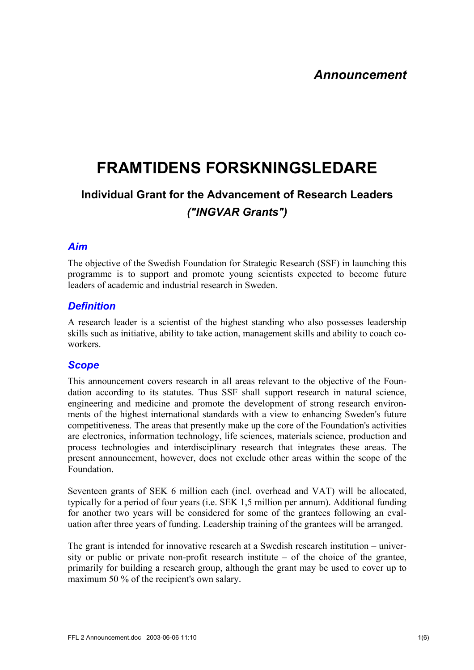# **FRAMTIDENS FORSKNINGSLEDARE**

## **Individual Grant for the Advancement of Research Leaders**  *("INGVAR Grants")*

## *Aim*

The objective of the Swedish Foundation for Strategic Research (SSF) in launching this programme is to support and promote young scientists expected to become future leaders of academic and industrial research in Sweden.

## *Definition*

A research leader is a scientist of the highest standing who also possesses leadership skills such as initiative, ability to take action, management skills and ability to coach coworkers.

#### *Scope*

This announcement covers research in all areas relevant to the objective of the Foundation according to its statutes. Thus SSF shall support research in natural science, engineering and medicine and promote the development of strong research environments of the highest international standards with a view to enhancing Sweden's future competitiveness. The areas that presently make up the core of the Foundation's activities are electronics, information technology, life sciences, materials science, production and process technologies and interdisciplinary research that integrates these areas. The present announcement, however, does not exclude other areas within the scope of the Foundation.

Seventeen grants of SEK 6 million each (incl. overhead and VAT) will be allocated, typically for a period of four years (i.e. SEK 1,5 million per annum). Additional funding for another two years will be considered for some of the grantees following an evaluation after three years of funding. Leadership training of the grantees will be arranged.

The grant is intended for innovative research at a Swedish research institution – university or public or private non-profit research institute – of the choice of the grantee, primarily for building a research group, although the grant may be used to cover up to maximum 50 % of the recipient's own salary.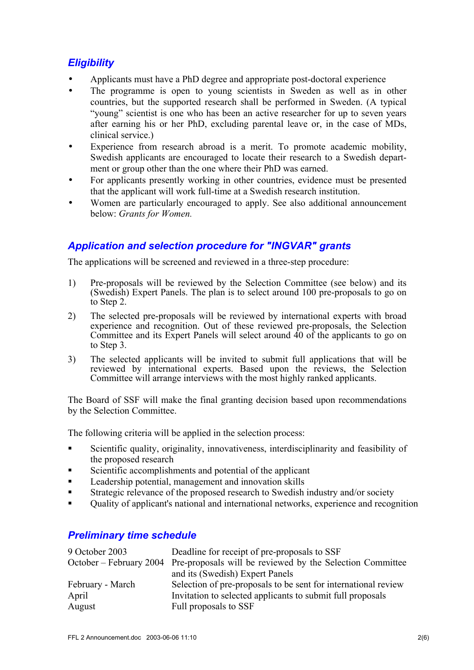## *Eligibility*

- Applicants must have a PhD degree and appropriate post-doctoral experience
- The programme is open to young scientists in Sweden as well as in other countries, but the supported research shall be performed in Sweden. (A typical "young" scientist is one who has been an active researcher for up to seven years after earning his or her PhD, excluding parental leave or, in the case of MDs, clinical service.)
- Experience from research abroad is a merit. To promote academic mobility, Swedish applicants are encouraged to locate their research to a Swedish department or group other than the one where their PhD was earned.
- For applicants presently working in other countries, evidence must be presented that the applicant will work full-time at a Swedish research institution.
- Women are particularly encouraged to apply. See also additional announcement below: *Grants for Women.*

## *Application and selection procedure for "INGVAR" grants*

The applications will be screened and reviewed in a three-step procedure:

- 1) Pre-proposals will be reviewed by the Selection Committee (see below) and its (Swedish) Expert Panels. The plan is to select around 100 pre-proposals to go on to Step 2.
- 2) The selected pre-proposals will be reviewed by international experts with broad experience and recognition. Out of these reviewed pre-proposals, the Selection Committee and its Expert Panels will select around 40 of the applicants to go on to Step 3.
- 3) The selected applicants will be invited to submit full applications that will be reviewed by international experts. Based upon the reviews, the Selection Committee will arrange interviews with the most highly ranked applicants.

The Board of SSF will make the final granting decision based upon recommendations by the Selection Committee.

The following criteria will be applied in the selection process:

- Scientific quality, originality, innovativeness, interdisciplinarity and feasibility of the proposed research
- Scientific accomplishments and potential of the applicant
- **Leadership potential, management and innovation skills**
- Strategic relevance of the proposed research to Swedish industry and/or society
- Quality of applicant's national and international networks, experience and recognition

#### *Preliminary time schedule*

| 9 October 2003   | Deadline for receipt of pre-proposals to SSF                                      |
|------------------|-----------------------------------------------------------------------------------|
|                  | October – February 2004 Pre-proposals will be reviewed by the Selection Committee |
|                  | and its (Swedish) Expert Panels                                                   |
| February - March | Selection of pre-proposals to be sent for international review                    |
| April            | Invitation to selected applicants to submit full proposals                        |
| August           | Full proposals to SSF                                                             |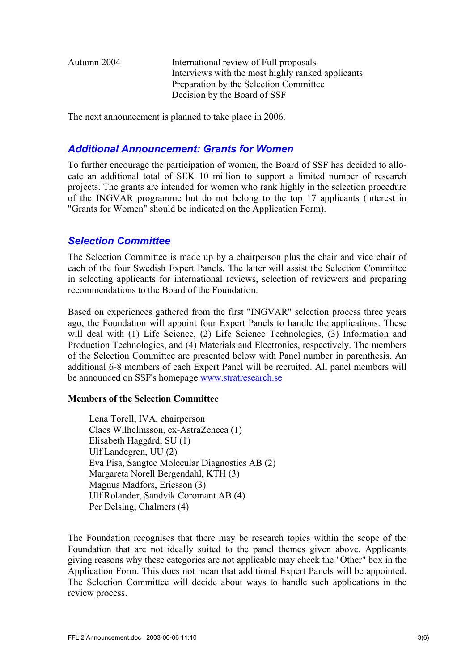Autumn 2004 International review of Full proposals Interviews with the most highly ranked applicants Preparation by the Selection Committee Decision by the Board of SSF

The next announcement is planned to take place in 2006.

#### *Additional Announcement: Grants for Women*

To further encourage the participation of women, the Board of SSF has decided to allocate an additional total of SEK 10 million to support a limited number of research projects. The grants are intended for women who rank highly in the selection procedure of the INGVAR programme but do not belong to the top 17 applicants (interest in "Grants for Women" should be indicated on the Application Form).

#### *Selection Committee*

The Selection Committee is made up by a chairperson plus the chair and vice chair of each of the four Swedish Expert Panels. The latter will assist the Selection Committee in selecting applicants for international reviews, selection of reviewers and preparing recommendations to the Board of the Foundation.

Based on experiences gathered from the first "INGVAR" selection process three years ago, the Foundation will appoint four Expert Panels to handle the applications. These will deal with (1) Life Science, (2) Life Science Technologies, (3) Information and Production Technologies, and (4) Materials and Electronics, respectively. The members of the Selection Committee are presented below with Panel number in parenthesis. An additional 6-8 members of each Expert Panel will be recruited. All panel members will be announced on SSF's homepage [www.stratresearch.se](http://www.stratresearch.se/)

#### **Members of the Selection Committee**

Lena Torell, IVA, chairperson Claes Wilhelmsson, ex-AstraZeneca (1) Elisabeth Haggård, SU (1) Ulf Landegren, UU (2) Eva Pisa, Sangtec Molecular Diagnostics AB (2) Margareta Norell Bergendahl, KTH (3) Magnus Madfors, Ericsson (3) Ulf Rolander, Sandvik Coromant AB (4) Per Delsing, Chalmers (4)

The Foundation recognises that there may be research topics within the scope of the Foundation that are not ideally suited to the panel themes given above. Applicants giving reasons why these categories are not applicable may check the "Other" box in the Application Form. This does not mean that additional Expert Panels will be appointed. The Selection Committee will decide about ways to handle such applications in the review process.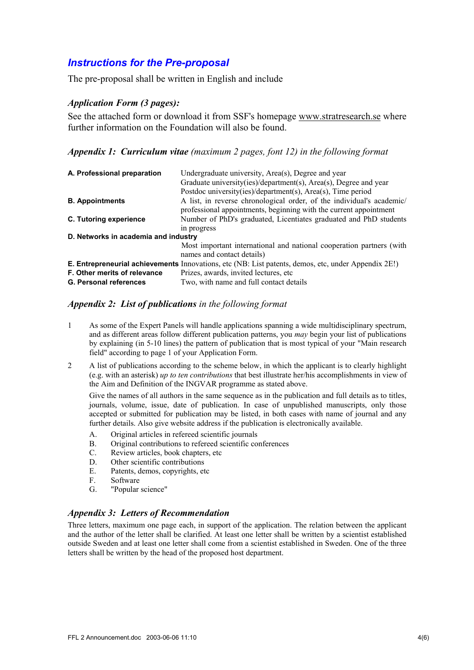#### *Instructions for the Pre-proposal*

The pre-proposal shall be written in English and include

#### *Application Form (3 pages):*

See the attached form or download it from SSF's homepage [www.stratresearch.se](http://www.stratresearch.se/) where further information on the Foundation will also be found.

#### *Appendix 1: Curriculum vitae (maximum 2 pages, font 12) in the following format*

| A. Professional preparation          | Undergraduate university, Area(s), Degree and year                                                         |
|--------------------------------------|------------------------------------------------------------------------------------------------------------|
|                                      | Graduate university(ies)/department(s), Area(s), Degree and year                                           |
|                                      | Postdoc university(ies)/department(s), Area(s), Time period                                                |
| <b>B.</b> Appointments               | A list, in reverse chronological order, of the individual's academic/                                      |
|                                      | professional appointments, beginning with the current appointment                                          |
| C. Tutoring experience               | Number of PhD's graduated, Licentiates graduated and PhD students                                          |
|                                      | in progress                                                                                                |
| D. Networks in academia and industry |                                                                                                            |
|                                      | Most important international and national cooperation partners (with<br>names and contact details)         |
|                                      | <b>E. Entrepreneurial achievements</b> Innovations, etc (NB: List patents, demos, etc, under Appendix 2E!) |
| F. Other merits of relevance         | Prizes, awards, invited lectures, etc.                                                                     |
| <b>G. Personal references</b>        | Two, with name and full contact details                                                                    |

#### *Appendix 2: List of publications in the following format*

- 1 As some of the Expert Panels will handle applications spanning a wide multidisciplinary spectrum, and as different areas follow different publication patterns, you *may* begin your list of publications by explaining (in 5-10 lines) the pattern of publication that is most typical of your "Main research field" according to page 1 of your Application Form.
- 2 A list of publications according to the scheme below, in which the applicant is to clearly highlight (e.g. with an asterisk) *up to ten contributions* that best illustrate her/his accomplishments in view of the Aim and Definition of the INGVAR programme as stated above.

 Give the names of all authors in the same sequence as in the publication and full details as to titles, journals, volume, issue, date of publication. In case of unpublished manuscripts, only those accepted or submitted for publication may be listed, in both cases with name of journal and any further details. Also give website address if the publication is electronically available.

- A. Original articles in refereed scientific journals
- B. Original contributions to refereed scientific conferences
- C. Review articles, book chapters, etc
- D. Other scientific contributions
- E. Patents, demos, copyrights, etc
- F. Software
- G. "Popular science"

#### *Appendix 3: Letters of Recommendation*

Three letters, maximum one page each, in support of the application. The relation between the applicant and the author of the letter shall be clarified. At least one letter shall be written by a scientist established outside Sweden and at least one letter shall come from a scientist established in Sweden. One of the three letters shall be written by the head of the proposed host department.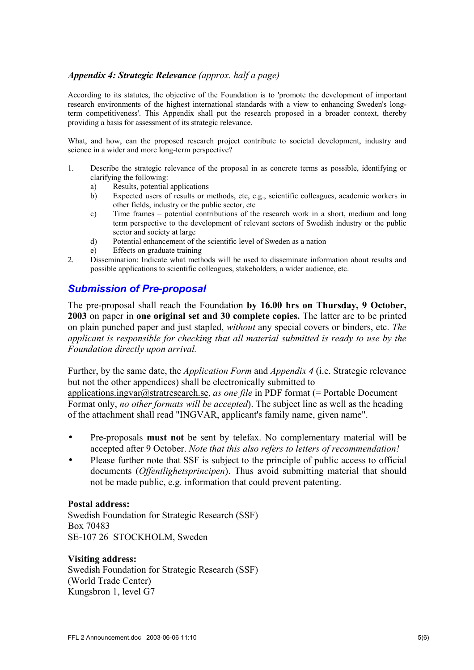#### *Appendix 4: Strategic Relevance (approx. half a page)*

According to its statutes, the objective of the Foundation is to 'promote the development of important research environments of the highest international standards with a view to enhancing Sweden's longterm competitiveness'. This Appendix shall put the research proposed in a broader context, thereby providing a basis for assessment of its strategic relevance.

What, and how, can the proposed research project contribute to societal development, industry and science in a wider and more long-term perspective?

- 1. Describe the strategic relevance of the proposal in as concrete terms as possible, identifying or clarifying the following:
	- a) Results, potential applications
	- b) Expected users of results or methods, etc, e.g., scientific colleagues, academic workers in other fields, industry or the public sector, etc
	- c) Time frames potential contributions of the research work in a short, medium and long term perspective to the development of relevant sectors of Swedish industry or the public sector and society at large
	- d) Potential enhancement of the scientific level of Sweden as a nation
	- e) Effects on graduate training
- 2. Dissemination: Indicate what methods will be used to disseminate information about results and possible applications to scientific colleagues, stakeholders, a wider audience, etc.

#### *Submission of Pre-proposal*

The pre-proposal shall reach the Foundation **by 16.00 hrs on Thursday, 9 October, 2003** on paper in **one original set and 30 complete copies.** The latter are to be printed on plain punched paper and just stapled, *without* any special covers or binders, etc. *The applicant is responsible for checking that all material submitted is ready to use by the Foundation directly upon arrival.*

Further, by the same date, the *Application Form* and *Appendix 4* (i.e. Strategic relevance but not the other appendices) shall be electronically submitted to [applications.ingvar@stratresearch.se,](mailto:henryk.wos@stratresearch.se) *as one file* in PDF format (= Portable Document Format only, *no other formats will be accepted*). The subject line as well as the heading of the attachment shall read "INGVAR, applicant's family name, given name".

- Pre-proposals **must not** be sent by telefax. No complementary material will be accepted after 9 October. *Note that this also refers to letters of recommendation!*
- Please further note that SSF is subject to the principle of public access to official documents (*Offentlighetsprincipen*). Thus avoid submitting material that should not be made public, e.g. information that could prevent patenting.

#### **Postal address:**

Swedish Foundation for Strategic Research (SSF) Box 70483 SE-107 26 STOCKHOLM, Sweden

#### **Visiting address:**

Swedish Foundation for Strategic Research (SSF) (World Trade Center) Kungsbron 1, level G7